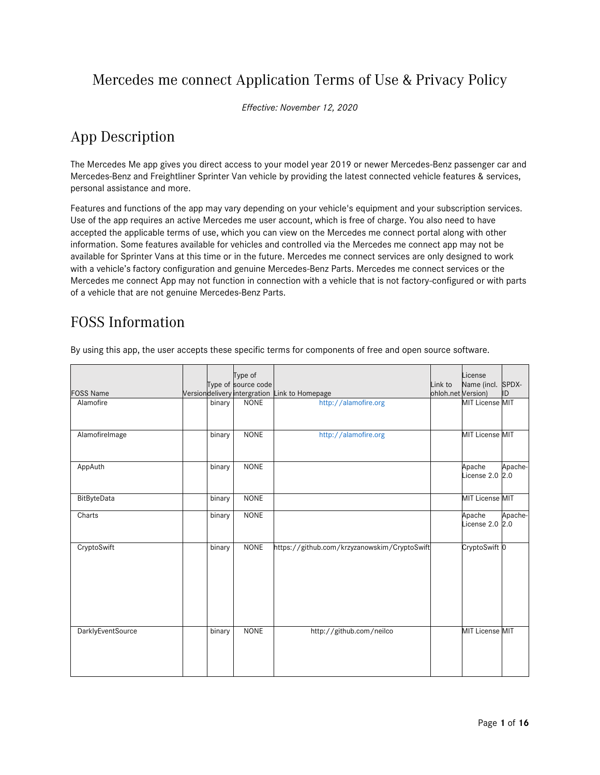# Mercedes me connect Application Terms of Use & Privacy Policy

*Effective: November 12, 2020*

# App Description

The Mercedes Me app gives you direct access to your model year 2019 or newer Mercedes-Benz passenger car and Mercedes-Benz and Freightliner Sprinter Van vehicle by providing the latest connected vehicle features & services, personal assistance and more.

Features and functions of the app may vary depending on your vehicle's equipment and your subscription services. Use of the app requires an active Mercedes me user account, which is free of charge. You also need to have accepted the applicable terms of use, which you can view on the Mercedes me connect portal along with other information. Some features available for vehicles and controlled via the Mercedes me connect app may not be available for Sprinter Vans at this time or in the future. Mercedes me connect services are only designed to work with a vehicle's factory configuration and genuine Mercedes-Benz Parts. Mercedes me connect services or the Mercedes me connect App may not function in connection with a vehicle that is not factory-configured or with parts of a vehicle that are not genuine Mercedes-Benz Parts.

# FOSS Information

By using this app, the user accepts these specific terms for components of free and open source software.

| <b>FOSS Name</b>         |        | Type of<br>Type of source code | Versiondelivery intergration Link to Homepage | Link to<br>ohloh.net Version) | License<br>Name (incl. SPDX- | ID      |
|--------------------------|--------|--------------------------------|-----------------------------------------------|-------------------------------|------------------------------|---------|
| Alamofire                | binary | <b>NONE</b>                    | http://alamofire.org                          |                               | MIT License MIT              |         |
| AlamofireImage           | binary | <b>NONE</b>                    | http://alamofire.org                          |                               | MIT License MIT              |         |
| AppAuth                  | binary | <b>NONE</b>                    |                                               |                               | Apache<br>License 2.0 2.0    | Apache- |
| BitByteData              | binary | <b>NONE</b>                    |                                               |                               | MIT License MIT              |         |
| Charts                   | binary | <b>NONE</b>                    |                                               |                               | Apache<br>License 2.0 2.0    | Apache- |
| CryptoSwift              | binary | <b>NONE</b>                    | https://github.com/krzyzanowskim/CryptoSwift  |                               | CryptoSwift <sup>0</sup>     |         |
| <b>DarklyEventSource</b> | binary | <b>NONE</b>                    | http://github.com/neilco                      |                               | MIT License MIT              |         |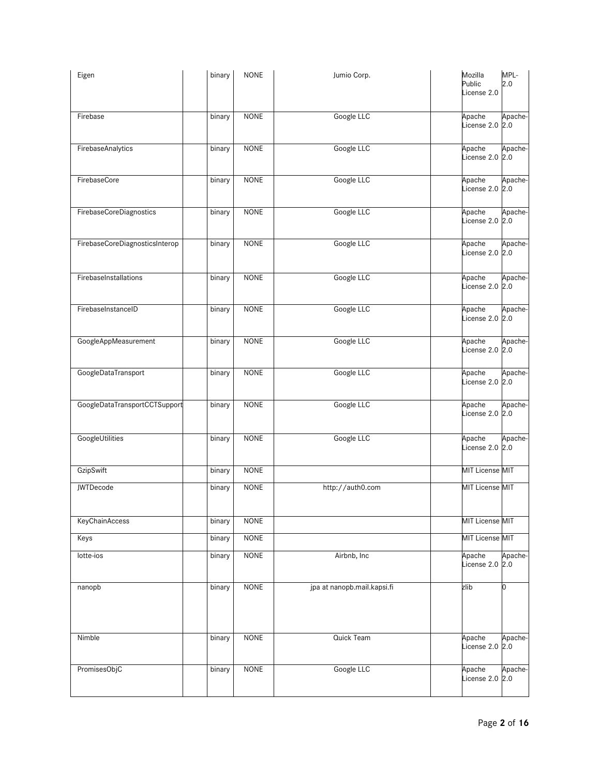| Eigen                          | binary | <b>NONE</b> | Jumio Corp.                 | Mozilla<br>Public<br>License 2.0 | MPL-<br>2.0    |
|--------------------------------|--------|-------------|-----------------------------|----------------------------------|----------------|
| Firebase                       | binary | <b>NONE</b> | Google LLC                  | Apache<br>License 2.0 2.0        | Apache-        |
| FirebaseAnalytics              | binary | <b>NONE</b> | Google LLC                  | Apache<br>License 2.0 2.0        | Apache-        |
| FirebaseCore                   | binary | <b>NONE</b> | Google LLC                  | Apache<br>License 2.0            | Apache-<br>2.0 |
| FirebaseCoreDiagnostics        | binary | <b>NONE</b> | Google LLC                  | Apache<br>License 2.0            | Apache-<br>2.0 |
| FirebaseCoreDiagnosticsInterop | binary | <b>NONE</b> | Google LLC                  | Apache<br>License 2.0 2.0        | Apache-        |
| FirebaseInstallations          | binary | <b>NONE</b> | Google LLC                  | Apache<br>License 2.0 2.0        | Apache-        |
| FirebaseInstanceID             | binary | <b>NONE</b> | Google LLC                  | Apache<br>License 2.0            | Apache-<br>2.0 |
| GoogleAppMeasurement           | binary | <b>NONE</b> | Google LLC                  | Apache<br>License 2.0            | Apache-<br>2.0 |
| GoogleDataTransport            | binary | <b>NONE</b> | Google LLC                  | Apache<br>License 2.0 2.0        | Apache-        |
| GoogleDataTransportCCTSupport  | binary | <b>NONE</b> | Google LLC                  | Apache<br>License 2.0            | Apache-<br>2.0 |
| GoogleUtilities                | binary | <b>NONE</b> | Google LLC                  | Apache<br>License 2.0            | Apache-<br>2.0 |
| GzipSwift                      | binary | <b>NONE</b> |                             | MIT License MIT                  |                |
| JWTDecode                      | binary | <b>NONE</b> | http://auth0.com            | <b>MIT License MIT</b>           |                |
| KeyChainAccess                 | binary | <b>NONE</b> |                             | MIT License MIT                  |                |
| Keys                           | binary | <b>NONE</b> |                             | MIT License MIT                  |                |
| lotte-ios                      | binary | <b>NONE</b> | Airbnb, Inc                 | Apache<br>License 2.0 2.0        | Apache-        |
| nanopb                         | binary | <b>NONE</b> | jpa at nanopb.mail.kapsi.fi | zlib                             | n              |
| Nimble                         | binary | <b>NONE</b> | Quick Team                  | Apache<br>License 2.0 2.0        | Apache-        |
| PromisesObjC                   | binary | <b>NONE</b> | Google LLC                  | Apache<br>License 2.0            | Apache-<br>2.0 |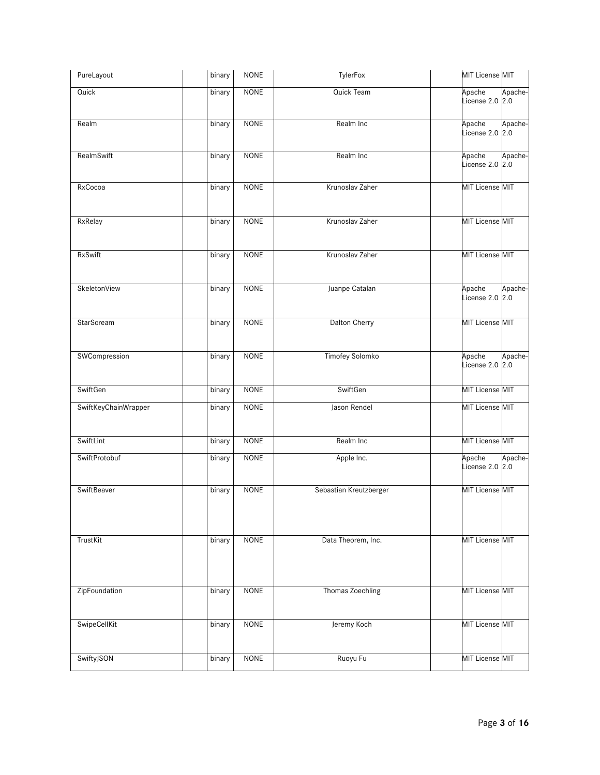| PureLayout           | binary | <b>NONE</b> | TylerFox               | MIT License MIT                      |
|----------------------|--------|-------------|------------------------|--------------------------------------|
| Quick                | binary | <b>NONE</b> | Quick Team             | Apache<br>Apache-<br>License 2.0 2.0 |
| Realm                | binary | <b>NONE</b> | Realm Inc              | Apache-<br>Apache<br>License 2.0 2.0 |
| RealmSwift           | binary | <b>NONE</b> | Realm Inc              | Apache<br>Apache-<br>License 2.0 2.0 |
| RxCocoa              | binary | <b>NONE</b> | Krunoslav Zaher        | <b>MIT License MIT</b>               |
| RxRelay              | binary | <b>NONE</b> | Krunoslav Zaher        | MIT License MIT                      |
| <b>RxSwift</b>       | binary | <b>NONE</b> | Krunoslav Zaher        | MIT License MIT                      |
| SkeletonView         | binary | <b>NONE</b> | Juanpe Catalan         | Apache<br>Apache-<br>License 2.0 2.0 |
| StarScream           | binary | <b>NONE</b> | Dalton Cherry          | MIT License MIT                      |
| SWCompression        | binary | <b>NONE</b> | <b>Timofey Solomko</b> | Apache<br>Apache-<br>License 2.0 2.0 |
| SwiftGen             | binary | <b>NONE</b> | SwiftGen               | MIT License MIT                      |
| SwiftKeyChainWrapper | binary | <b>NONE</b> | Jason Rendel           | MIT License MIT                      |
| SwiftLint            | binary | <b>NONE</b> | Realm Inc              | MIT License MIT                      |
| SwiftProtobuf        | binary | <b>NONE</b> | Apple Inc.             | Apache<br>Apache-<br>License 2.0 2.0 |
| SwiftBeaver          | binary | <b>NONE</b> | Sebastian Kreutzberger | <b>MIT License MIT</b>               |
| TrustKit             | binary | <b>NONE</b> | Data Theorem, Inc.     | MIT License MIT                      |
| ZipFoundation        | binary | <b>NONE</b> | Thomas Zoechling       | <b>MIT License MIT</b>               |
| SwipeCellKit         | binary | <b>NONE</b> | Jeremy Koch            | <b>MIT License MIT</b>               |
| SwiftyJSON           | binary | <b>NONE</b> | Ruoyu Fu               | MIT License MIT                      |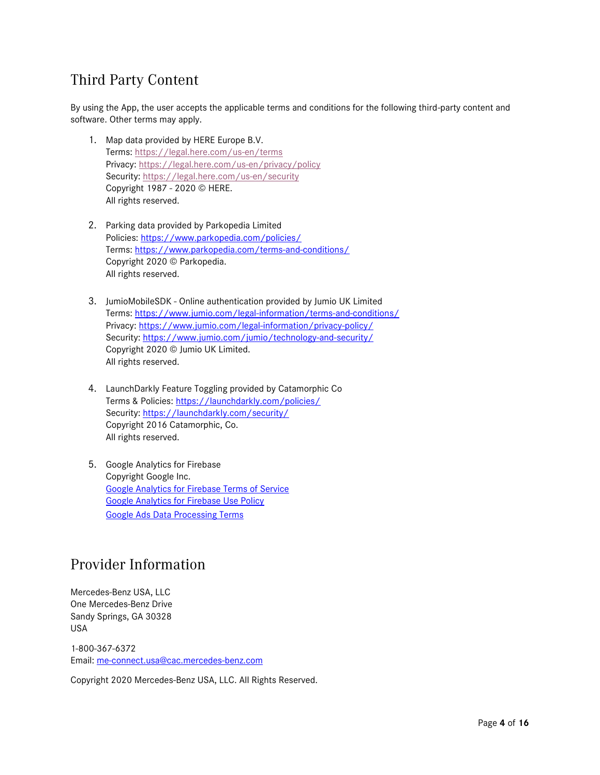# Third Party Content

By using the App, the user accepts the applicable terms and conditions for the following third-party content and software. Other terms may apply.

- 1. Map data provided by HERE Europe B.V. Terms: <https://legal.here.com/us-en/terms> Privacy: <https://legal.here.com/us-en/privacy/policy> Security: <https://legal.here.com/us-en/security> Copyright 1987 - 2020 © HERE. All rights reserved.
- 2. Parking data provided by Parkopedia Limited Policies: <https://www.parkopedia.com/policies/> Terms: <https://www.parkopedia.com/terms-and-conditions/> Copyright 2020 © Parkopedia. All rights reserved.
- 3. JumioMobileSDK Online authentication provided by Jumio UK Limited Terms: <https://www.jumio.com/legal-information/terms-and-conditions/> Privacy: <https://www.jumio.com/legal-information/privacy-policy/> Security: <https://www.jumio.com/jumio/technology-and-security/> Copyright 2020 © Jumio UK Limited. All rights reserved.
- 4. LaunchDarkly Feature Toggling provided by Catamorphic Co Terms & Policies: <https://launchdarkly.com/policies/> Security: <https://launchdarkly.com/security/> Copyright 2016 Catamorphic, Co. All rights reserved.
- 5. Google Analytics for Firebase Copyright Google Inc. [Google Analytics for Firebase Terms of Service](https://firebase.google.com/terms/analytics/) [Google Analytics for Firebase Use Policy](https://firebase.google.com/policies/analytics/) [Google Ads Data Processing Terms](https://privacy.google.com/businesses/processorterms/)

# Provider Information

Mercedes-Benz USA, LLC One Mercedes-Benz Drive Sandy Springs, GA 30328 USA

1-800-367-6372 Email: [me-connect.usa@cac.mercedes-benz.com](mailto:me-connect.usa@cac.mercedes-benz.com)

Copyright 2020 Mercedes-Benz USA, LLC. All Rights Reserved.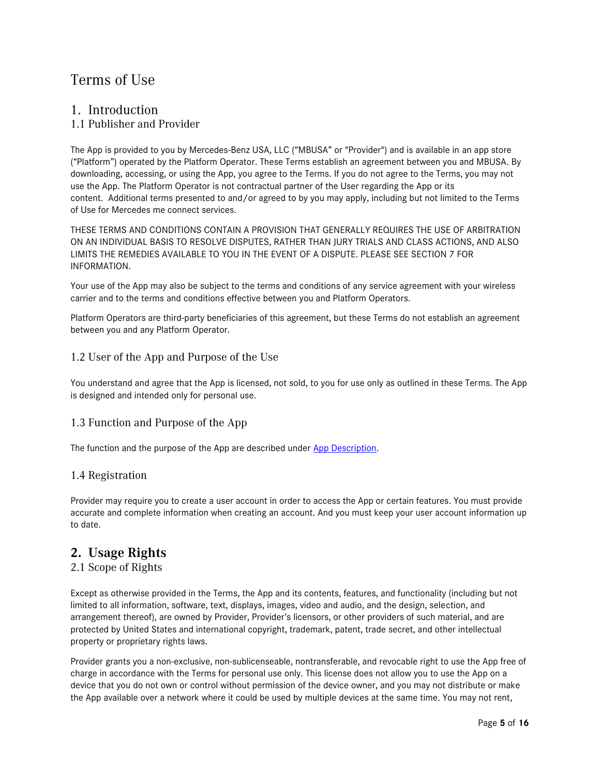# Terms of Use

### 1. Introduction

#### 1.1 Publisher and Provider

The App is provided to you by Mercedes-Benz USA, LLC ("MBUSA" or "Provider") and is available in an app store ("Platform") operated by the Platform Operator. These Terms establish an agreement between you and MBUSA. By downloading, accessing, or using the App, you agree to the Terms. If you do not agree to the Terms, you may not use the App. The Platform Operator is not contractual partner of the User regarding the App or its content. Additional terms presented to and/or agreed to by you may apply, including but not limited to the Terms of Use for Mercedes me connect services.

THESE TERMS AND CONDITIONS CONTAIN A PROVISION THAT GENERALLY REQUIRES THE USE OF ARBITRATION ON AN INDIVIDUAL BASIS TO RESOLVE DISPUTES, RATHER THAN JURY TRIALS AND CLASS ACTIONS, AND ALSO LIMITS THE REMEDIES AVAILABLE TO YOU IN THE EVENT OF A DISPUTE. PLEASE SEE SECTION 7 FOR INFORMATION.

Your use of the App may also be subject to the terms and conditions of any service agreement with your wireless carrier and to the terms and conditions effective between you and Platform Operators.

Platform Operators are third-party beneficiaries of this agreement, but these Terms do not establish an agreement between you and any Platform Operator.

#### 1.2 User of the App and Purpose of the Use

You understand and agree that the App is licensed, not sold, to you for use only as outlined in these Terms. The App is designed and intended only for personal use.

#### 1.3 Function and Purpose of the App

The function and the purpose of the App are described under [App Description.](https://ldsso.e.corpintra.net/ldsso-static/APP_DESCRIPTION)

#### 1.4 Registration

Provider may require you to create a user account in order to access the App or certain features. You must provide accurate and complete information when creating an account. And you must keep your user account information up to date.

## **2. Usage Rights**

#### 2.1 Scope of Rights

Except as otherwise provided in the Terms, the App and its contents, features, and functionality (including but not limited to all information, software, text, displays, images, video and audio, and the design, selection, and arrangement thereof), are owned by Provider, Provider's licensors, or other providers of such material, and are protected by United States and international copyright, trademark, patent, trade secret, and other intellectual property or proprietary rights laws.

Provider grants you a non-exclusive, non-sublicenseable, nontransferable, and revocable right to use the App free of charge in accordance with the Terms for personal use only. This license does not allow you to use the App on a device that you do not own or control without permission of the device owner, and you may not distribute or make the App available over a network where it could be used by multiple devices at the same time. You may not rent,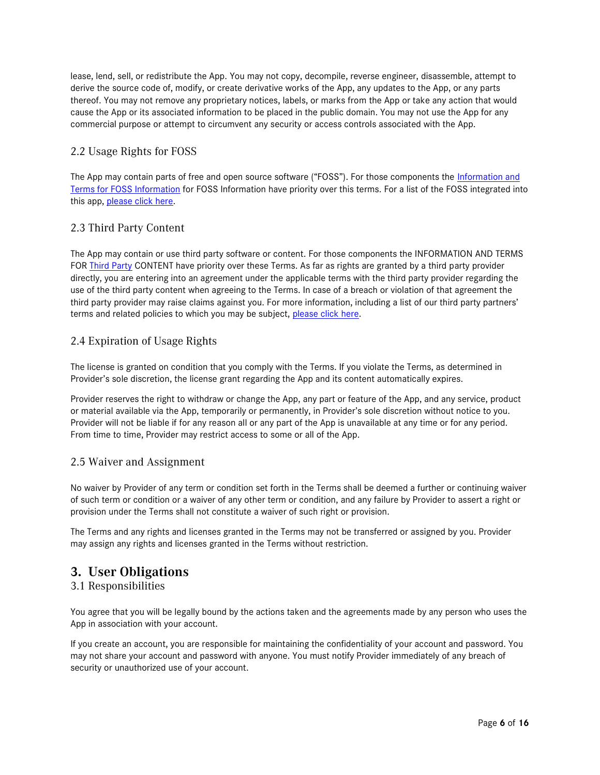lease, lend, sell, or redistribute the App. You may not copy, decompile, reverse engineer, disassemble, attempt to derive the source code of, modify, or create derivative works of the App, any updates to the App, or any parts thereof. You may not remove any proprietary notices, labels, or marks from the App or take any action that would cause the App or its associated information to be placed in the public domain. You may not use the App for any commercial purpose or attempt to circumvent any security or access controls associated with the App.

### 2.2 Usage Rights for FOSS

The App may contain parts of free and open source software ("FOSS"). For those components the Information and [Terms for FOSS Information](https://ldsso.e.corpintra.net/ldsso-static/FOSS_INFORMATION) for FOSS Information have priority over this terms. For a list of the FOSS integrated into this app, [please click here.](https://ldsso.e.corpintra.net/ldsso-static/FOSS_INFORMATION)

### 2.3 Third Party Content

The App may contain or use third party software or content. For those components the INFORMATION AND TERMS FOR [Third Party](https://ldsso.e.corpintra.net/ldsso-static/THIRD_PARTY_CONTENT) CONTENT have priority over these Terms. As far as rights are granted by a third party provider directly, you are entering into an agreement under the applicable terms with the third party provider regarding the use of the third party content when agreeing to the Terms. In case of a breach or violation of that agreement the third party provider may raise claims against you. For more information, including a list of our third party partners' terms and related policies to which you may be subject, [please click here.](https://ldsso.e.corpintra.net/ldsso-static/THIRD_PARTY_CONTENT)

#### 2.4 Expiration of Usage Rights

The license is granted on condition that you comply with the Terms. If you violate the Terms, as determined in Provider's sole discretion, the license grant regarding the App and its content automatically expires.

Provider reserves the right to withdraw or change the App, any part or feature of the App, and any service, product or material available via the App, temporarily or permanently, in Provider's sole discretion without notice to you. Provider will not be liable if for any reason all or any part of the App is unavailable at any time or for any period. From time to time, Provider may restrict access to some or all of the App.

#### 2.5 Waiver and Assignment

No waiver by Provider of any term or condition set forth in the Terms shall be deemed a further or continuing waiver of such term or condition or a waiver of any other term or condition, and any failure by Provider to assert a right or provision under the Terms shall not constitute a waiver of such right or provision.

The Terms and any rights and licenses granted in the Terms may not be transferred or assigned by you. Provider may assign any rights and licenses granted in the Terms without restriction.

# **3. User Obligations**

#### 3.1 Responsibilities

You agree that you will be legally bound by the actions taken and the agreements made by any person who uses the App in association with your account.

If you create an account, you are responsible for maintaining the confidentiality of your account and password. You may not share your account and password with anyone. You must notify Provider immediately of any breach of security or unauthorized use of your account.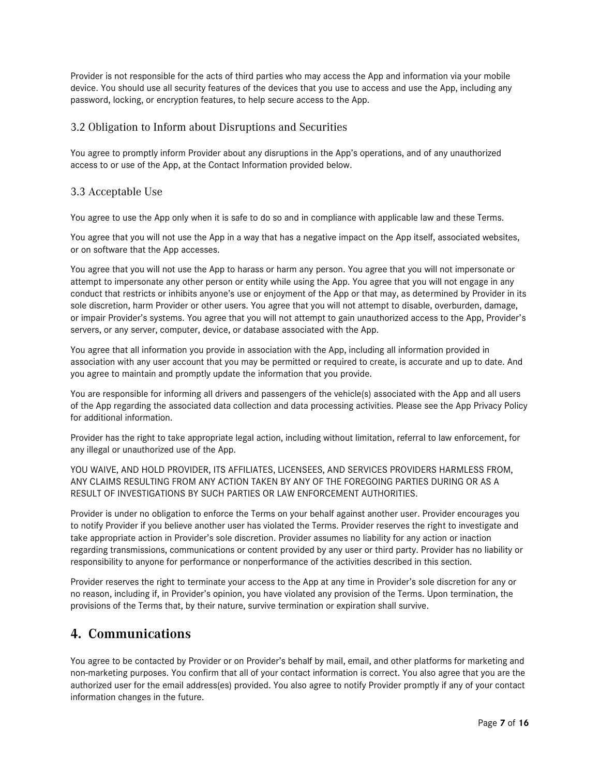Provider is not responsible for the acts of third parties who may access the App and information via your mobile device. You should use all security features of the devices that you use to access and use the App, including any password, locking, or encryption features, to help secure access to the App.

#### 3.2 Obligation to Inform about Disruptions and Securities

You agree to promptly inform Provider about any disruptions in the App's operations, and of any unauthorized access to or use of the App, at the Contact Information provided below.

#### 3.3 Acceptable Use

You agree to use the App only when it is safe to do so and in compliance with applicable law and these Terms.

You agree that you will not use the App in a way that has a negative impact on the App itself, associated websites, or on software that the App accesses.

You agree that you will not use the App to harass or harm any person. You agree that you will not impersonate or attempt to impersonate any other person or entity while using the App. You agree that you will not engage in any conduct that restricts or inhibits anyone's use or enjoyment of the App or that may, as determined by Provider in its sole discretion, harm Provider or other users. You agree that you will not attempt to disable, overburden, damage, or impair Provider's systems. You agree that you will not attempt to gain unauthorized access to the App, Provider's servers, or any server, computer, device, or database associated with the App.

You agree that all information you provide in association with the App, including all information provided in association with any user account that you may be permitted or required to create, is accurate and up to date. And you agree to maintain and promptly update the information that you provide.

You are responsible for informing all drivers and passengers of the vehicle(s) associated with the App and all users of the App regarding the associated data collection and data processing activities. Please see the App Privacy Policy for additional information.

Provider has the right to take appropriate legal action, including without limitation, referral to law enforcement, for any illegal or unauthorized use of the App.

YOU WAIVE, AND HOLD PROVIDER, ITS AFFILIATES, LICENSEES, AND SERVICES PROVIDERS HARMLESS FROM, ANY CLAIMS RESULTING FROM ANY ACTION TAKEN BY ANY OF THE FOREGOING PARTIES DURING OR AS A RESULT OF INVESTIGATIONS BY SUCH PARTIES OR LAW ENFORCEMENT AUTHORITIES.

Provider is under no obligation to enforce the Terms on your behalf against another user. Provider encourages you to notify Provider if you believe another user has violated the Terms. Provider reserves the right to investigate and take appropriate action in Provider's sole discretion. Provider assumes no liability for any action or inaction regarding transmissions, communications or content provided by any user or third party. Provider has no liability or responsibility to anyone for performance or nonperformance of the activities described in this section.

Provider reserves the right to terminate your access to the App at any time in Provider's sole discretion for any or no reason, including if, in Provider's opinion, you have violated any provision of the Terms. Upon termination, the provisions of the Terms that, by their nature, survive termination or expiration shall survive.

## **4. Communications**

You agree to be contacted by Provider or on Provider's behalf by mail, email, and other platforms for marketing and non-marketing purposes. You confirm that all of your contact information is correct. You also agree that you are the authorized user for the email address(es) provided. You also agree to notify Provider promptly if any of your contact information changes in the future.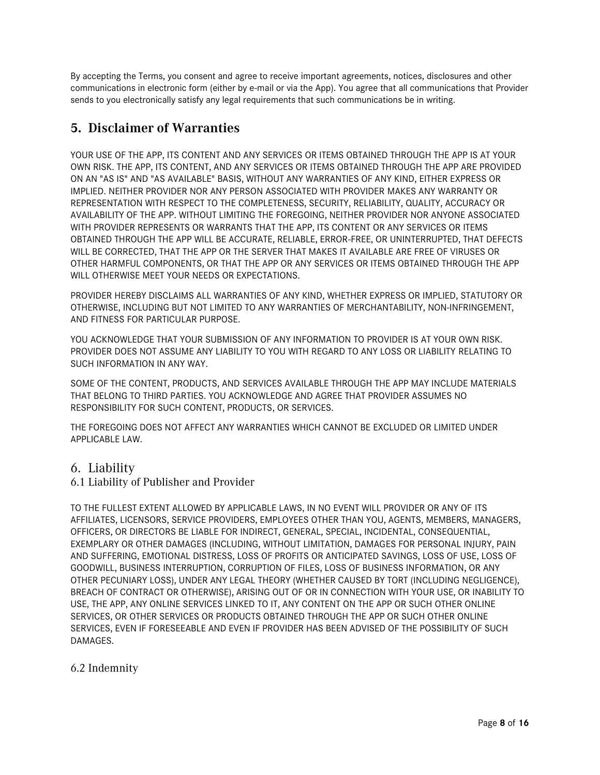By accepting the Terms, you consent and agree to receive important agreements, notices, disclosures and other communications in electronic form (either by e-mail or via the App). You agree that all communications that Provider sends to you electronically satisfy any legal requirements that such communications be in writing.

# **5. Disclaimer of Warranties**

YOUR USE OF THE APP, ITS CONTENT AND ANY SERVICES OR ITEMS OBTAINED THROUGH THE APP IS AT YOUR OWN RISK. THE APP, ITS CONTENT, AND ANY SERVICES OR ITEMS OBTAINED THROUGH THE APP ARE PROVIDED ON AN "AS IS" AND "AS AVAILABLE" BASIS, WITHOUT ANY WARRANTIES OF ANY KIND, EITHER EXPRESS OR IMPLIED. NEITHER PROVIDER NOR ANY PERSON ASSOCIATED WITH PROVIDER MAKES ANY WARRANTY OR REPRESENTATION WITH RESPECT TO THE COMPLETENESS, SECURITY, RELIABILITY, QUALITY, ACCURACY OR AVAILABILITY OF THE APP. WITHOUT LIMITING THE FOREGOING, NEITHER PROVIDER NOR ANYONE ASSOCIATED WITH PROVIDER REPRESENTS OR WARRANTS THAT THE APP, ITS CONTENT OR ANY SERVICES OR ITEMS OBTAINED THROUGH THE APP WILL BE ACCURATE, RELIABLE, ERROR-FREE, OR UNINTERRUPTED, THAT DEFECTS WILL BE CORRECTED, THAT THE APP OR THE SERVER THAT MAKES IT AVAILABLE ARE FREE OF VIRUSES OR OTHER HARMFUL COMPONENTS, OR THAT THE APP OR ANY SERVICES OR ITEMS OBTAINED THROUGH THE APP WILL OTHERWISE MEET YOUR NEEDS OR EXPECTATIONS.

PROVIDER HEREBY DISCLAIMS ALL WARRANTIES OF ANY KIND, WHETHER EXPRESS OR IMPLIED, STATUTORY OR OTHERWISE, INCLUDING BUT NOT LIMITED TO ANY WARRANTIES OF MERCHANTABILITY, NON-INFRINGEMENT, AND FITNESS FOR PARTICULAR PURPOSE.

YOU ACKNOWLEDGE THAT YOUR SUBMISSION OF ANY INFORMATION TO PROVIDER IS AT YOUR OWN RISK. PROVIDER DOES NOT ASSUME ANY LIABILITY TO YOU WITH REGARD TO ANY LOSS OR LIABILITY RELATING TO SUCH INFORMATION IN ANY WAY.

SOME OF THE CONTENT, PRODUCTS, AND SERVICES AVAILABLE THROUGH THE APP MAY INCLUDE MATERIALS THAT BELONG TO THIRD PARTIES. YOU ACKNOWLEDGE AND AGREE THAT PROVIDER ASSUMES NO RESPONSIBILITY FOR SUCH CONTENT, PRODUCTS, OR SERVICES.

THE FOREGOING DOES NOT AFFECT ANY WARRANTIES WHICH CANNOT BE EXCLUDED OR LIMITED UNDER APPLICABLE LAW.

### 6. Liability

6.1 Liability of Publisher and Provider

TO THE FULLEST EXTENT ALLOWED BY APPLICABLE LAWS, IN NO EVENT WILL PROVIDER OR ANY OF ITS AFFILIATES, LICENSORS, SERVICE PROVIDERS, EMPLOYEES OTHER THAN YOU, AGENTS, MEMBERS, MANAGERS, OFFICERS, OR DIRECTORS BE LIABLE FOR INDIRECT, GENERAL, SPECIAL, INCIDENTAL, CONSEQUENTIAL, EXEMPLARY OR OTHER DAMAGES (INCLUDING, WITHOUT LIMITATION, DAMAGES FOR PERSONAL INJURY, PAIN AND SUFFERING, EMOTIONAL DISTRESS, LOSS OF PROFITS OR ANTICIPATED SAVINGS, LOSS OF USE, LOSS OF GOODWILL, BUSINESS INTERRUPTION, CORRUPTION OF FILES, LOSS OF BUSINESS INFORMATION, OR ANY OTHER PECUNIARY LOSS), UNDER ANY LEGAL THEORY (WHETHER CAUSED BY TORT (INCLUDING NEGLIGENCE), BREACH OF CONTRACT OR OTHERWISE), ARISING OUT OF OR IN CONNECTION WITH YOUR USE, OR INABILITY TO USE, THE APP, ANY ONLINE SERVICES LINKED TO IT, ANY CONTENT ON THE APP OR SUCH OTHER ONLINE SERVICES, OR OTHER SERVICES OR PRODUCTS OBTAINED THROUGH THE APP OR SUCH OTHER ONLINE SERVICES, EVEN IF FORESEEABLE AND EVEN IF PROVIDER HAS BEEN ADVISED OF THE POSSIBILITY OF SUCH DAMAGES.

#### 6.2 Indemnity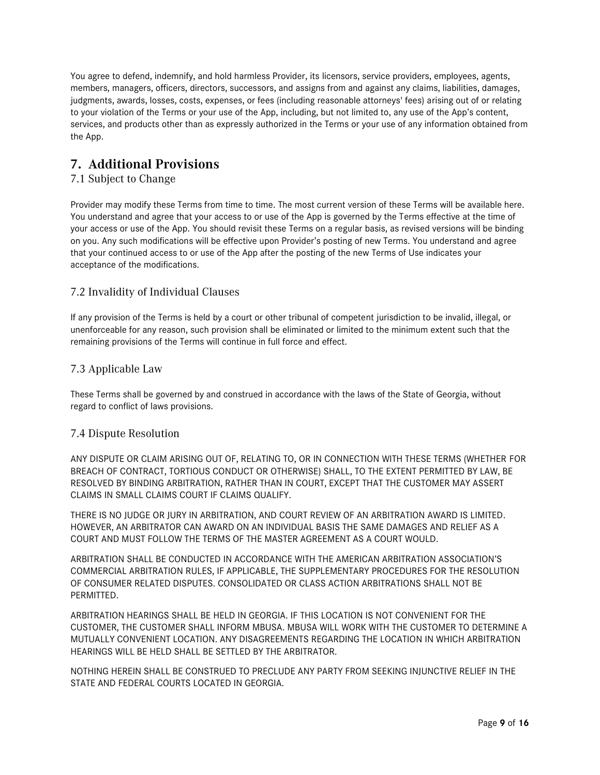You agree to defend, indemnify, and hold harmless Provider, its licensors, service providers, employees, agents, members, managers, officers, directors, successors, and assigns from and against any claims, liabilities, damages, judgments, awards, losses, costs, expenses, or fees (including reasonable attorneys' fees) arising out of or relating to your violation of the Terms or your use of the App, including, but not limited to, any use of the App's content, services, and products other than as expressly authorized in the Terms or your use of any information obtained from the App.

## **7. Additional Provisions**

### 7.1 Subject to Change

Provider may modify these Terms from time to time. The most current version of these Terms will be available here. You understand and agree that your access to or use of the App is governed by the Terms effective at the time of your access or use of the App. You should revisit these Terms on a regular basis, as revised versions will be binding on you. Any such modifications will be effective upon Provider's posting of new Terms. You understand and agree that your continued access to or use of the App after the posting of the new Terms of Use indicates your acceptance of the modifications.

#### 7.2 Invalidity of Individual Clauses

If any provision of the Terms is held by a court or other tribunal of competent jurisdiction to be invalid, illegal, or unenforceable for any reason, such provision shall be eliminated or limited to the minimum extent such that the remaining provisions of the Terms will continue in full force and effect.

#### 7.3 Applicable Law

These Terms shall be governed by and construed in accordance with the laws of the State of Georgia, without regard to conflict of laws provisions.

#### 7.4 Dispute Resolution

ANY DISPUTE OR CLAIM ARISING OUT OF, RELATING TO, OR IN CONNECTION WITH THESE TERMS (WHETHER FOR BREACH OF CONTRACT, TORTIOUS CONDUCT OR OTHERWISE) SHALL, TO THE EXTENT PERMITTED BY LAW, BE RESOLVED BY BINDING ARBITRATION, RATHER THAN IN COURT, EXCEPT THAT THE CUSTOMER MAY ASSERT CLAIMS IN SMALL CLAIMS COURT IF CLAIMS QUALIFY.

THERE IS NO JUDGE OR JURY IN ARBITRATION, AND COURT REVIEW OF AN ARBITRATION AWARD IS LIMITED. HOWEVER, AN ARBITRATOR CAN AWARD ON AN INDIVIDUAL BASIS THE SAME DAMAGES AND RELIEF AS A COURT AND MUST FOLLOW THE TERMS OF THE MASTER AGREEMENT AS A COURT WOULD.

ARBITRATION SHALL BE CONDUCTED IN ACCORDANCE WITH THE AMERICAN ARBITRATION ASSOCIATION'S COMMERCIAL ARBITRATION RULES, IF APPLICABLE, THE SUPPLEMENTARY PROCEDURES FOR THE RESOLUTION OF CONSUMER RELATED DISPUTES. CONSOLIDATED OR CLASS ACTION ARBITRATIONS SHALL NOT BE **PERMITTED.** 

ARBITRATION HEARINGS SHALL BE HELD IN GEORGIA. IF THIS LOCATION IS NOT CONVENIENT FOR THE CUSTOMER, THE CUSTOMER SHALL INFORM MBUSA. MBUSA WILL WORK WITH THE CUSTOMER TO DETERMINE A MUTUALLY CONVENIENT LOCATION. ANY DISAGREEMENTS REGARDING THE LOCATION IN WHICH ARBITRATION HEARINGS WILL BE HELD SHALL BE SETTLED BY THE ARBITRATOR.

NOTHING HEREIN SHALL BE CONSTRUED TO PRECLUDE ANY PARTY FROM SEEKING INJUNCTIVE RELIEF IN THE STATE AND FEDERAL COURTS LOCATED IN GEORGIA.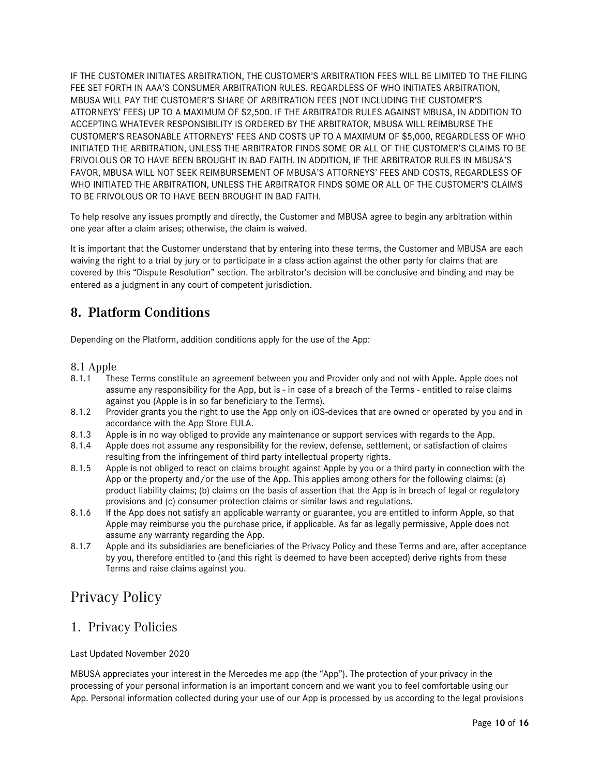IF THE CUSTOMER INITIATES ARBITRATION, THE CUSTOMER'S ARBITRATION FEES WILL BE LIMITED TO THE FILING FEE SET FORTH IN AAA'S CONSUMER ARBITRATION RULES. REGARDLESS OF WHO INITIATES ARBITRATION, MBUSA WILL PAY THE CUSTOMER'S SHARE OF ARBITRATION FEES (NOT INCLUDING THE CUSTOMER'S ATTORNEYS' FEES) UP TO A MAXIMUM OF \$2,500. IF THE ARBITRATOR RULES AGAINST MBUSA, IN ADDITION TO ACCEPTING WHATEVER RESPONSIBILITY IS ORDERED BY THE ARBITRATOR, MBUSA WILL REIMBURSE THE CUSTOMER'S REASONABLE ATTORNEYS' FEES AND COSTS UP TO A MAXIMUM OF \$5,000, REGARDLESS OF WHO INITIATED THE ARBITRATION, UNLESS THE ARBITRATOR FINDS SOME OR ALL OF THE CUSTOMER'S CLAIMS TO BE FRIVOLOUS OR TO HAVE BEEN BROUGHT IN BAD FAITH. IN ADDITION, IF THE ARBITRATOR RULES IN MBUSA'S FAVOR, MBUSA WILL NOT SEEK REIMBURSEMENT OF MBUSA'S ATTORNEYS' FEES AND COSTS, REGARDLESS OF WHO INITIATED THE ARBITRATION, UNLESS THE ARBITRATOR FINDS SOME OR ALL OF THE CUSTOMER'S CLAIMS TO BE FRIVOLOUS OR TO HAVE BEEN BROUGHT IN BAD FAITH.

To help resolve any issues promptly and directly, the Customer and MBUSA agree to begin any arbitration within one year after a claim arises; otherwise, the claim is waived.

It is important that the Customer understand that by entering into these terms, the Customer and MBUSA are each waiving the right to a trial by jury or to participate in a class action against the other party for claims that are covered by this "Dispute Resolution" section. The arbitrator's decision will be conclusive and binding and may be entered as a judgment in any court of competent jurisdiction.

# **8. Platform Conditions**

Depending on the Platform, addition conditions apply for the use of the App:

#### 8.1 Apple

- 8.1.1 These Terms constitute an agreement between you and Provider only and not with Apple. Apple does not assume any responsibility for the App, but is - in case of a breach of the Terms - entitled to raise claims against you (Apple is in so far beneficiary to the Terms).
- 8.1.2 Provider grants you the right to use the App only on iOS-devices that are owned or operated by you and in accordance with the App Store EULA.
- 8.1.3 Apple is in no way obliged to provide any maintenance or support services with regards to the App.
- 8.1.4 Apple does not assume any responsibility for the review, defense, settlement, or satisfaction of claims resulting from the infringement of third party intellectual property rights.
- 8.1.5 Apple is not obliged to react on claims brought against Apple by you or a third party in connection with the App or the property and/or the use of the App. This applies among others for the following claims: (a) product liability claims; (b) claims on the basis of assertion that the App is in breach of legal or regulatory provisions and (c) consumer protection claims or similar laws and regulations.
- 8.1.6 If the App does not satisfy an applicable warranty or guarantee, you are entitled to inform Apple, so that Apple may reimburse you the purchase price, if applicable. As far as legally permissive, Apple does not assume any warranty regarding the App.
- 8.1.7 Apple and its subsidiaries are beneficiaries of the Privacy Policy and these Terms and are, after acceptance by you, therefore entitled to (and this right is deemed to have been accepted) derive rights from these Terms and raise claims against you.

# Privacy Policy

## 1. Privacy Policies

Last Updated November 2020

MBUSA appreciates your interest in the Mercedes me app (the "App"). The protection of your privacy in the processing of your personal information is an important concern and we want you to feel comfortable using our App. Personal information collected during your use of our App is processed by us according to the legal provisions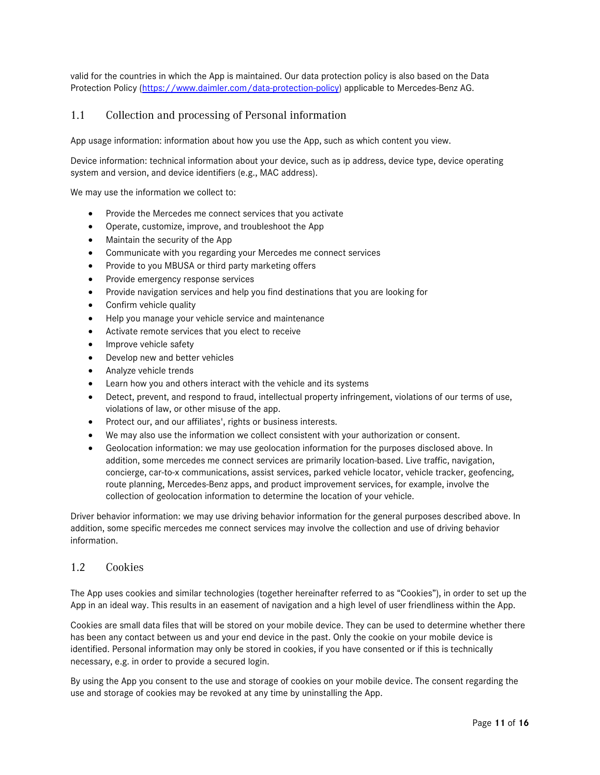valid for the countries in which the App is maintained. Our data protection policy is also based on the Data Protection Policy [\(https://www.daimler.com/data-protection-policy\)](https://www.daimler.com/data-protection-policy) applicable to Mercedes-Benz AG.

#### 1.1 Collection and processing of Personal information

App usage information: information about how you use the App, such as which content you view.

Device information: technical information about your device, such as ip address, device type, device operating system and version, and device identifiers (e.g., MAC address).

We may use the information we collect to:

- Provide the Mercedes me connect services that you activate
- Operate, customize, improve, and troubleshoot the App
- Maintain the security of the App
- Communicate with you regarding your Mercedes me connect services
- Provide to you MBUSA or third party marketing offers
- Provide emergency response services
- Provide navigation services and help you find destinations that you are looking for
- Confirm vehicle quality
- Help you manage your vehicle service and maintenance
- Activate remote services that you elect to receive
- Improve vehicle safety
- Develop new and better vehicles
- Analyze vehicle trends
- Learn how you and others interact with the vehicle and its systems
- Detect, prevent, and respond to fraud, intellectual property infringement, violations of our terms of use, violations of law, or other misuse of the app.
- Protect our, and our affiliates', rights or business interests.
- We may also use the information we collect consistent with your authorization or consent.
- Geolocation information: we may use geolocation information for the purposes disclosed above. In addition, some mercedes me connect services are primarily location-based. Live traffic, navigation, concierge, car-to-x communications, assist services, parked vehicle locator, vehicle tracker, geofencing, route planning, Mercedes-Benz apps, and product improvement services, for example, involve the collection of geolocation information to determine the location of your vehicle.

Driver behavior information: we may use driving behavior information for the general purposes described above. In addition, some specific mercedes me connect services may involve the collection and use of driving behavior information.

#### 1.2 Cookies

The App uses cookies and similar technologies (together hereinafter referred to as "Cookies"), in order to set up the App in an ideal way. This results in an easement of navigation and a high level of user friendliness within the App.

Cookies are small data files that will be stored on your mobile device. They can be used to determine whether there has been any contact between us and your end device in the past. Only the cookie on your mobile device is identified. Personal information may only be stored in cookies, if you have consented or if this is technically necessary, e.g. in order to provide a secured login.

By using the App you consent to the use and storage of cookies on your mobile device. The consent regarding the use and storage of cookies may be revoked at any time by uninstalling the App.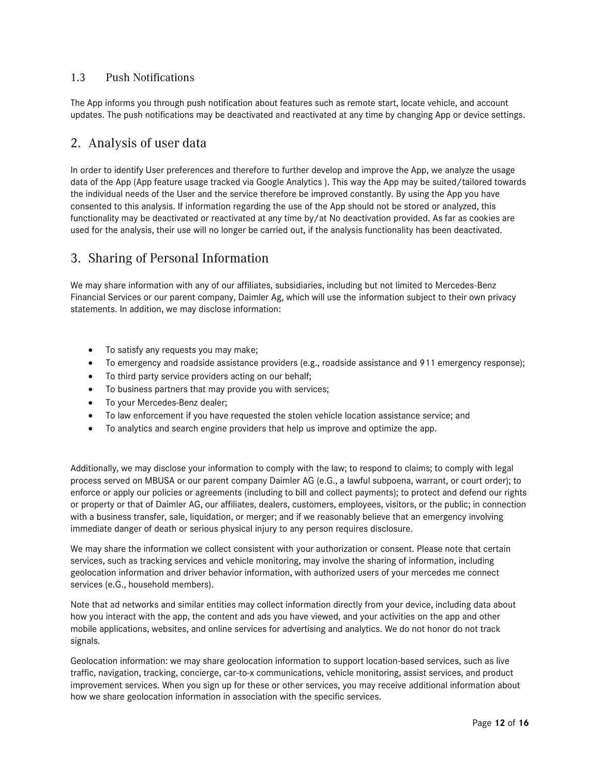#### 1.3 Push Notifications

The App informs you through push notification about features such as remote start, locate vehicle, and account updates. The push notifications may be deactivated and reactivated at any time by changing App or device settings.

### 2. Analysis of user data

In order to identify User preferences and therefore to further develop and improve the App, we analyze the usage data of the App (App feature usage tracked via Google Analytics ). This way the App may be suited/tailored towards the individual needs of the User and the service therefore be improved constantly. By using the App you have consented to this analysis. If information regarding the use of the App should not be stored or analyzed, this functionality may be deactivated or reactivated at any time by/at No deactivation provided. As far as cookies are used for the analysis, their use will no longer be carried out, if the analysis functionality has been deactivated.

### 3. Sharing of Personal Information

We may share information with any of our affiliates, subsidiaries, including but not limited to Mercedes-Benz Financial Services or our parent company, Daimler Ag, which will use the information subject to their own privacy statements. In addition, we may disclose information:

- To satisfy any requests you may make;
- To emergency and roadside assistance providers (e.g., roadside assistance and 911 emergency response);
- To third party service providers acting on our behalf;
- To business partners that may provide you with services;
- To your Mercedes-Benz dealer;
- To law enforcement if you have requested the stolen vehicle location assistance service; and
- To analytics and search engine providers that help us improve and optimize the app.

Additionally, we may disclose your information to comply with the law; to respond to claims; to comply with legal process served on MBUSA or our parent company Daimler AG (e.G., a lawful subpoena, warrant, or court order); to enforce or apply our policies or agreements (including to bill and collect payments); to protect and defend our rights or property or that of Daimler AG, our affiliates, dealers, customers, employees, visitors, or the public; in connection with a business transfer, sale, liquidation, or merger; and if we reasonably believe that an emergency involving immediate danger of death or serious physical injury to any person requires disclosure.

We may share the information we collect consistent with your authorization or consent. Please note that certain services, such as tracking services and vehicle monitoring, may involve the sharing of information, including geolocation information and driver behavior information, with authorized users of your mercedes me connect services (e.G., household members).

Note that ad networks and similar entities may collect information directly from your device, including data about how you interact with the app, the content and ads you have viewed, and your activities on the app and other mobile applications, websites, and online services for advertising and analytics. We do not honor do not track signals.

Geolocation information: we may share geolocation information to support location-based services, such as live traffic, navigation, tracking, concierge, car-to-x communications, vehicle monitoring, assist services, and product improvement services. When you sign up for these or other services, you may receive additional information about how we share geolocation information in association with the specific services.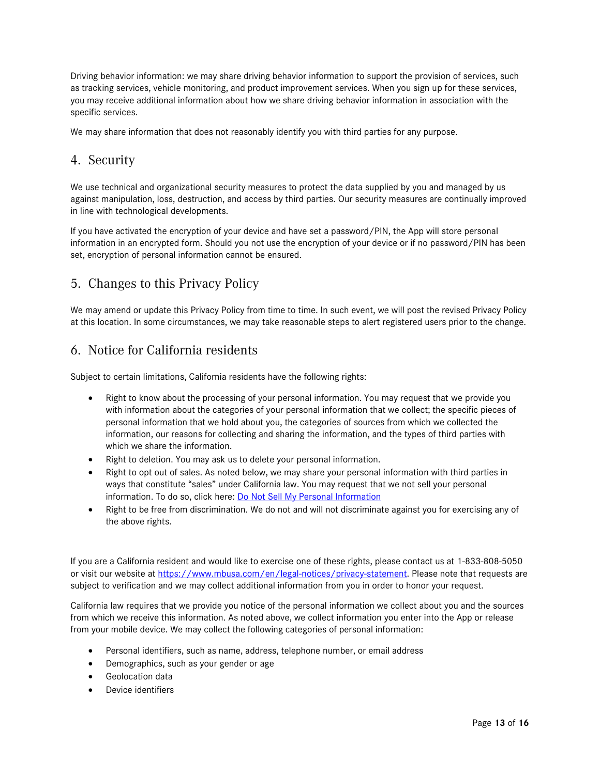Driving behavior information: we may share driving behavior information to support the provision of services, such as tracking services, vehicle monitoring, and product improvement services. When you sign up for these services, you may receive additional information about how we share driving behavior information in association with the specific services.

We may share information that does not reasonably identify you with third parties for any purpose.

# 4. Security

We use technical and organizational security measures to protect the data supplied by you and managed by us against manipulation, loss, destruction, and access by third parties. Our security measures are continually improved in line with technological developments.

If you have activated the encryption of your device and have set a password/PIN, the App will store personal information in an encrypted form. Should you not use the encryption of your device or if no password/PIN has been set, encryption of personal information cannot be ensured.

## 5. Changes to this Privacy Policy

We may amend or update this Privacy Policy from time to time. In such event, we will post the revised Privacy Policy at this location. In some circumstances, we may take reasonable steps to alert registered users prior to the change.

### 6. Notice for California residents

Subject to certain limitations, California residents have the following rights:

- Right to know about the processing of your personal information. You may request that we provide you with information about the categories of your personal information that we collect; the specific pieces of personal information that we hold about you, the categories of sources from which we collected the information, our reasons for collecting and sharing the information, and the types of third parties with which we share the information.
- Right to deletion. You may ask us to delete your personal information.
- Right to opt out of sales. As noted below, we may share your personal information with third parties in ways that constitute "sales" under California law. You may request that we not sell your personal information. To do so, click here: [Do Not Sell My Personal Information](https://privacyportal.onetrust.com/webform/a3de94cc-66c0-419e-86e7-9911a41ac2fc/a2e0f3be-5ba4-4a3c-8d2f-18b9a5c56b6a)
- Right to be free from discrimination. We do not and will not discriminate against you for exercising any of the above rights.

If you are a California resident and would like to exercise one of these rights, please contact us at 1-833-808-5050 or visit our website at [https://www.mbusa.com/en/legal-notices/privacy-statement.](https://www.mbusa.com/en/legal-notices/privacy-statement) Please note that requests are subject to verification and we may collect additional information from you in order to honor your request.

California law requires that we provide you notice of the personal information we collect about you and the sources from which we receive this information. As noted above, we collect information you enter into the App or release from your mobile device. We may collect the following categories of personal information:

- Personal identifiers, such as name, address, telephone number, or email address
- Demographics, such as your gender or age
- Geolocation data
- Device identifiers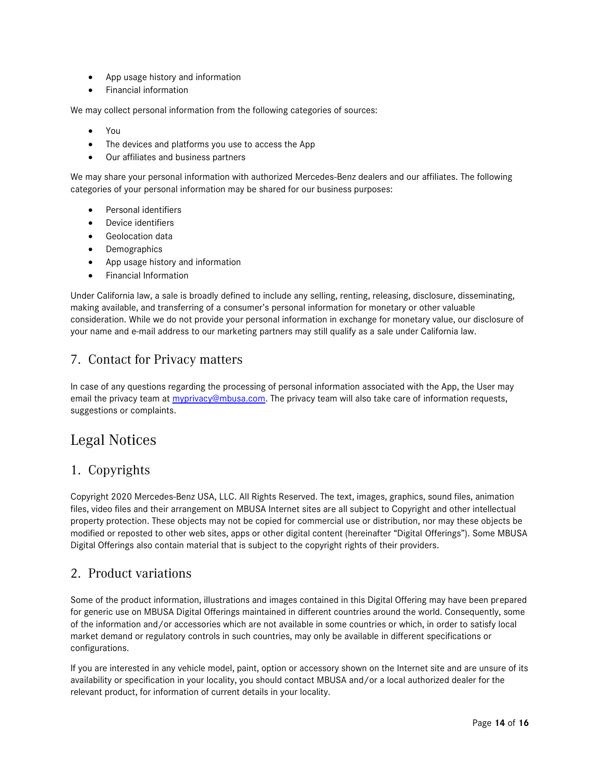- App usage history and information
- Financial information

We may collect personal information from the following categories of sources:

- You
- The devices and platforms you use to access the App
- Our affiliates and business partners

We may share your personal information with authorized Mercedes-Benz dealers and our affiliates. The following categories of your personal information may be shared for our business purposes:

- Personal identifiers
- Device identifiers
- Geolocation data
- Demographics
- App usage history and information
- Financial Information

Under California law, a sale is broadly defined to include any selling, renting, releasing, disclosure, disseminating, making available, and transferring of a consumer's personal information for monetary or other valuable consideration. While we do not provide your personal information in exchange for monetary value, our disclosure of your name and e-mail address to our marketing partners may still qualify as a sale under California law.

# 7. Contact for Privacy matters

In case of any questions regarding the processing of personal information associated with the App, the User may email the privacy team at [myprivacy@mbusa.com.](mailto:myprivacy@mbusa.com) The privacy team will also take care of information requests, suggestions or complaints.

# Legal Notices

## 1. Copyrights

Copyright 2020 Mercedes-Benz USA, LLC. All Rights Reserved. The text, images, graphics, sound files, animation files, video files and their arrangement on MBUSA Internet sites are all subject to Copyright and other intellectual property protection. These objects may not be copied for commercial use or distribution, nor may these objects be modified or reposted to other web sites, apps or other digital content (hereinafter "Digital Offerings"). Some MBUSA Digital Offerings also contain material that is subject to the copyright rights of their providers.

### 2. Product variations

Some of the product information, illustrations and images contained in this Digital Offering may have been prepared for generic use on MBUSA Digital Offerings maintained in different countries around the world. Consequently, some of the information and/or accessories which are not available in some countries or which, in order to satisfy local market demand or regulatory controls in such countries, may only be available in different specifications or configurations.

If you are interested in any vehicle model, paint, option or accessory shown on the Internet site and are unsure of its availability or specification in your locality, you should contact MBUSA and/or a local authorized dealer for the relevant product, for information of current details in your locality.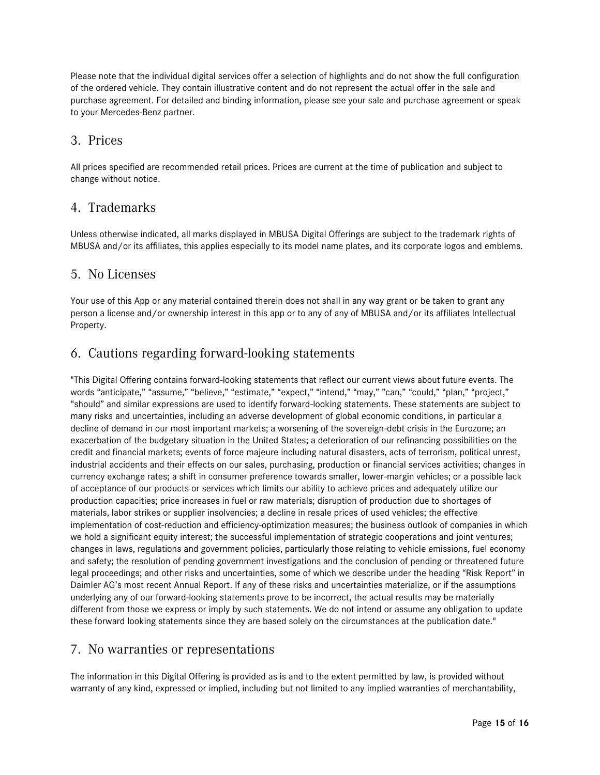Please note that the individual digital services offer a selection of highlights and do not show the full configuration of the ordered vehicle. They contain illustrative content and do not represent the actual offer in the sale and purchase agreement. For detailed and binding information, please see your sale and purchase agreement or speak to your Mercedes-Benz partner.

### 3. Prices

All prices specified are recommended retail prices. Prices are current at the time of publication and subject to change without notice.

#### 4. Trademarks

Unless otherwise indicated, all marks displayed in MBUSA Digital Offerings are subject to the trademark rights of MBUSA and/or its affiliates, this applies especially to its model name plates, and its corporate logos and emblems.

### 5. No Licenses

Your use of this App or any material contained therein does not shall in any way grant or be taken to grant any person a license and/or ownership interest in this app or to any of any of MBUSA and/or its affiliates Intellectual Property.

## 6. Cautions regarding forward-looking statements

"This Digital Offering contains forward-looking statements that reflect our current views about future events. The words "anticipate," "assume," "believe," "estimate," "expect," "intend," "may," "can," "could," "plan," "project," "should" and similar expressions are used to identify forward-looking statements. These statements are subject to many risks and uncertainties, including an adverse development of global economic conditions, in particular a decline of demand in our most important markets; a worsening of the sovereign-debt crisis in the Eurozone; an exacerbation of the budgetary situation in the United States; a deterioration of our refinancing possibilities on the credit and financial markets; events of force majeure including natural disasters, acts of terrorism, political unrest, industrial accidents and their effects on our sales, purchasing, production or financial services activities; changes in currency exchange rates; a shift in consumer preference towards smaller, lower-margin vehicles; or a possible lack of acceptance of our products or services which limits our ability to achieve prices and adequately utilize our production capacities; price increases in fuel or raw materials; disruption of production due to shortages of materials, labor strikes or supplier insolvencies; a decline in resale prices of used vehicles; the effective implementation of cost-reduction and efficiency-optimization measures; the business outlook of companies in which we hold a significant equity interest; the successful implementation of strategic cooperations and joint ventures; changes in laws, regulations and government policies, particularly those relating to vehicle emissions, fuel economy and safety; the resolution of pending government investigations and the conclusion of pending or threatened future legal proceedings; and other risks and uncertainties, some of which we describe under the heading "Risk Report" in Daimler AG's most recent Annual Report. If any of these risks and uncertainties materialize, or if the assumptions underlying any of our forward-looking statements prove to be incorrect, the actual results may be materially different from those we express or imply by such statements. We do not intend or assume any obligation to update these forward looking statements since they are based solely on the circumstances at the publication date."

### 7. No warranties or representations

The information in this Digital Offering is provided as is and to the extent permitted by law, is provided without warranty of any kind, expressed or implied, including but not limited to any implied warranties of merchantability,